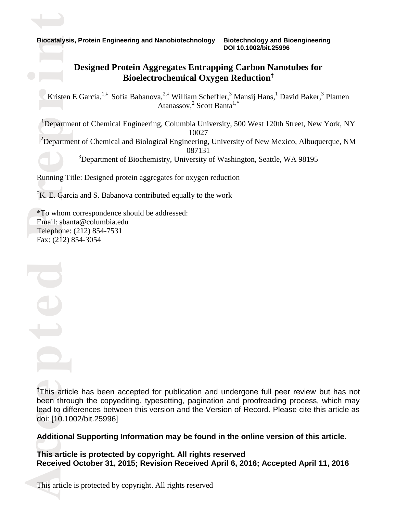n**Biocatalysis, Protein Engineering and Nanobiotechnology Biotechnology and Bioengineering DOI 10.1002/bit.25996**

#### **Designed Protein Aggregates Entrapping Carbon Nanotubes for Bioelectrochemical Oxygen Reduction†**

Kristen E Garcia,<sup>1,‡</sup> Sofia Babanova,<sup>2,‡</sup> William Scheffler,<sup>3</sup> Mansij Hans,<sup>1</sup> David Baker,<sup>3</sup> Plamen Atanassov,<sup>2</sup> Scott Banta<sup>1,\*</sup> Atanassov,<sup>2</sup> Scott Banta<sup>1,\*</sup>

<sup>1</sup>Department of Chemical Engineering, Columbia University, 500 West 120th Street, New York, NY<br><sup>2</sup>Department of Chemical and Biological Engineering, University of New Mexico, Albuquerque, NM 10027

e $2$ Department of Chemical and Biological Engineering, University of New Mexico, Albuquerque, NM 087131

<sup>3</sup>Department of Biochemistry, University of Washington, Seattle, WA 98195

Running Title: Designed protein aggregates for oxygen reduction

r‡K. E. Garcia and S. Babanova contributed equally to the work

\*To who<br>Email: s<br>Telepho Fax: (212) 854-3054 \*To whom correspondence should be addressed: Email: sbanta@columbia.edu Telephone: (212) 854-7531

pte

 $\bullet$   $\overline{\phantom{a}}$ 

 $\overrightarrow{ }$ 

lead to<br>doi: [10  $t$ This a been through the copyediting, typesetting, pagination and proofreading process, which may **†** This article has been accepted for publication and undergone full peer review but has not lead to differences between this version and the Version of Record. Please cite this article as doi: [10.1002/bit.25996]

#### **Additional Supporting Information may be found in the online version of this article.**

Addric<br>This ar<br>Receiv<br>This art **This article is protected by copyright. All rights reserved Received October 31, 2015; Revision Received April 6, 2016; Accepted April 11, 2016**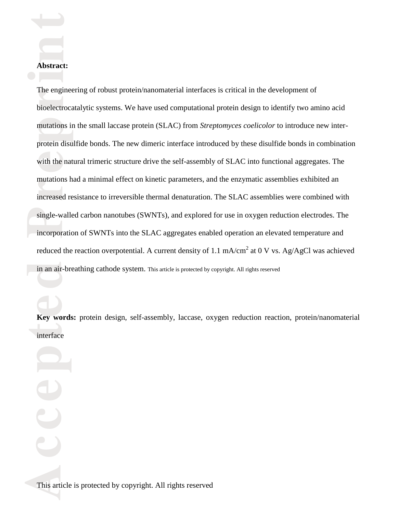#### **Abstract:**

 $\overrightarrow{ }$ 

in an air-breathing cathode system. This article is protected by copyright. All rights reserved single-walled carbon nanotubes (SWNTs), and explored for use in oxygen reduction electrodes. The incorporation of SWNTs into the SLAC aggregates enabled operation an elevated temperature and rincreased resistance to irreversible thermal denaturation. The SLAC assemblies were combined with with the mutations in the small laccase protein (SLAC) from *Streptomyces coelicolor* to introduce new inter-<br>protein disulfide bonds. The new dimeric interface introduced by these disulfide bonds in combination protein disulfide bonds. The new dimeric interface introduced by these disulfide bonds in combination I he engineering of robust protein/nanomaterial interfaces is critical in the development of<br>bioelectrocatalytic systems. We have used computational protein design to identify two amino acid The engineering of robust protein/nanomaterial interfaces is critical in the development of with the natural trimeric structure drive the self-assembly of SLAC into functional aggregates. The mutations had a minimal effect on kinetic parameters, and the enzymatic assemblies exhibited an incorporation of SWNTs into the SLAC aggregates enabled operation an elevated temperature and reduced the reaction overpotential. A current density of 1.1 mA/cm<sup>2</sup> at 0 V vs. Ag/AgCl was achieved

 $\mathbf{C}$ 

 $\bigoplus$ 

Key words<br>interface **Key words:** protein design, self-assembly, laccase, oxygen reduction reaction, protein/nanomaterial interface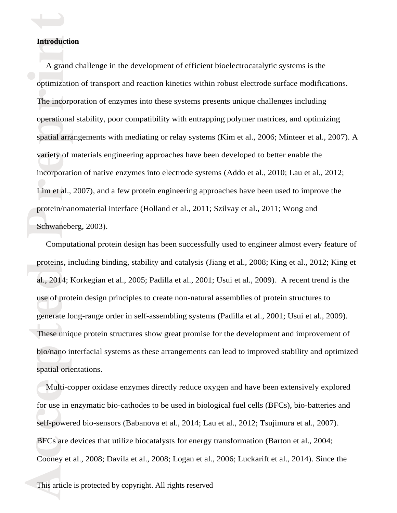# n**Introduction**

 $\overrightarrow{ }$ 

protein/<br>Schwan  $Lim$  et a variety of materials engineering approaches have been developed to better enable the<br>incorrection of active engrunnes into alactuade systems (Adda at al., 2010; I sy at al. incorporation of native enzymes into electrode systems (Addo et al., 2010; Lau et al., 2012; operational stability, poor compatibility with entrapping polymer matrices, and optimizing<br>spatial arrangements with mediating or relay systems (Kim et al., 2006; Minteer et al., 2007). A The incorporation of enzymes into these systems presents unique challenges including i optimization of transport and reaction kinetics within robust electrode surface modifications. A grand challenge in the development of efficient bioelectrocatalytic systems is the operational stability, poor compatibility with entrapping polymer matrices, and optimizing Lim et al., 2007), and a few protein engineering approaches have been used to improve the protein/nanomaterial interface (Holland et al., 2011; Szilvay et al., 2011; Wong and Schwaneberg, 2003).

use of prot<br>generate k<br>These unic<br>bio/nano in<br>spatial orie proteins, including binding, stability and catalysis (Jiang et al., 2008; King et al., 2012; King et al., 2014; Korkegian et al., 2005; Padilla et al., 2001; Usui et al., 2009). A recent trend is the Computational protein design has been successfully used to engineer almost every feature of proteins, including binding, stability and catalysis (Jiang et al., 2008; King et al., 2012; King et use of protein design principles to create non-natural assemblies of protein structures to generate long-range order in self-assembling systems (Padilla et al., 2001; Usui et al., 2009). These unique protein structures show great promise for the development and improvement of bio/nano interfacial systems as these arrangements can lead to improved stability and optimized spatial orientations.

BFCs a<br>Cooney<br>This art self-powered bio-sensors (Babanova et al., 2014; Lau et al., 2012; Tsujimura et al., 2007). Multi-copper oxidase enzymes directly reduce oxygen and have been extensively explored for use in enzymatic bio-cathodes to be used in biological fuel cells (BFCs), bio-batteries and BFCs are devices that utilize biocatalysts for energy transformation (Barton et al., 2004; Cooney et al., 2008; Davila et al., 2008; Logan et al., 2006; Luckarift et al., 2014). Since the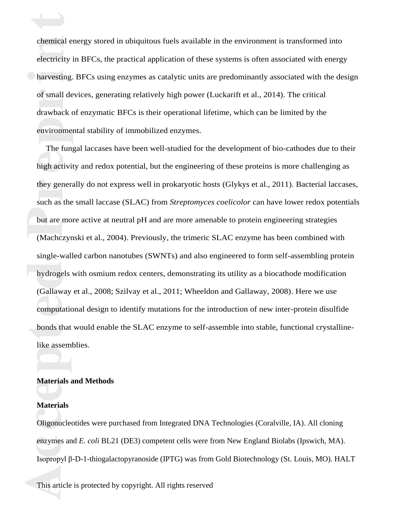environmer of small devices, generating relatively high power (Luckarift et al., 2014). The critical drawback of enzymatic BFCs is their operational lifetime, which can be limited by the iharvesting. BFCs using enzymes as catalytic units are predominantly associated with the design chemical energy stored in ubiquitous fuels available in the environment is transformed into<br>electricity in BFCs, the practical application of these systems is often associated with energy chemical energy stored in ubiquitous fuels available in the environment is transformed into environmental stability of immobilized enzymes.

computation<br>bonds that<br>like assem hydroge (Gallaway et al., 2008; Szilvay et al., 2011; Wheeldon and Gallaway, 2008). Here we use but are (Machczynski et al., 2004). Previously, the trimeric SLAC enzyme has been combined with they generally do not express well in prokaryotic hosts (Glykys et al., 2011). Bacterial laccases, such as the small laccase (SLAC) from *Streptomyces coelicolor* can have lower redox potentials high activity and redox potential, but the engineering of these proteins is more challenging as The fungal laccases have been well-studied for the development of bio-cathodes due to their but are more active at neutral pH and are more amenable to protein engineering strategies single-walled carbon nanotubes (SWNTs) and also engineered to form self-assembling protein hydrogels with osmium redox centers, demonstrating its utility as a biocathode modification computational design to identify mutations for the introduction of new inter-protein disulfide bonds that would enable the SLAC enzyme to self-assemble into stable, functional crystallinelike assemblies.

## e**Materials and Methods**

#### **Materials**

 $\overrightarrow{ }$ 

enzyme<br>Isoprop<br>This art cOligonucleotides were purchased from Integrated DNA Technologies (Coralville, IA). All cloning enzymes and *E. coli* BL21 (DE3) competent cells were from New England Biolabs (Ipswich, MA). Isopropyl β-D-1-thiogalactopyranoside (IPTG) was from Gold Biotechnology (St. Louis, MO). HALT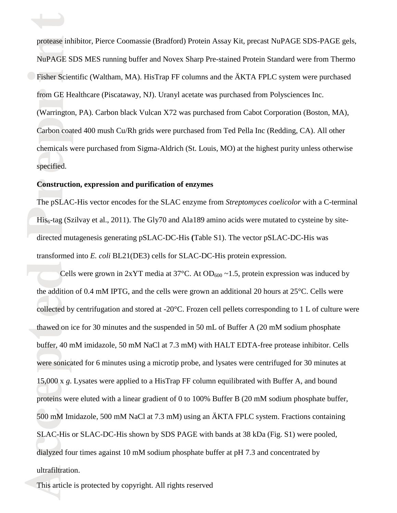specified. Carbon coat chemicals were purchased from Sigma-Aldrich (St. Louis, MO) at the highest purity unless otherwise rfrom GE Healthcare (Piscataway, NJ). Uranyl acetate was purchased from Polysciences Inc. (Warrington, PA). Carbon black Vulcan X72 was purchased from Cabot Corporation (Boston, MA), iFisher Scientific (Waltham, MA). HisTrap FF columns and the ÄKTA FPLC system were purchased protease inhibitor, Pierce Coomassie (Bradford) Protein Assay Kit, precast NuPAGE SDS-PAGE gels,<br>NuPAGE SDS MES running buffer and Novex Sharp Pre-stained Protein Standard were from Thermo NuPAGE SDS MES running buffer and Novex Sharp Pre-stained Protein Standard were from Thermo Carbon coated 400 mush Cu/Rh grids were purchased from Ted Pella Inc (Redding, CA). All other

### **Construction, expression and purification of enzymes**

 $\overrightarrow{ }$ 

 $His<sub>6</sub>-tag$  directed mutagenesis generating pSLAC-DC-His **(**Table S1). The vector pSLAC-DC-His was The pSLAC-His vector encodes for the SLAC enzyme from *Streptomyces coelicolor* with a C-terminal His<sub>6</sub>-tag (Szilvay et al., 2011). The Gly70 and Ala189 amino acids were mutated to cysteine by sitetransformed into *E. coli* BL21(DE3) cells for SLAC-DC-His protein expression.

Act Text<br>
dialyzed<br>
ultrafilt<br>
This art 500 mM Imidazole, 500 mM NaCl at 7.3 mM) using an ÄKTA FPLC system. Fractions containing SLAC-His or SLAC-DC-His shown by SDS PAGE with bands at 38 kDa (Fig. S1) were pooled, 15,000 x g. Lysates were applied to a HisTrap FF column equilibrated with Buffer A, and bound<br>proteins were eluted with a linear gradient of 0 to 100% Buffer B (20 mM sodium phosphate buffer, collected by<br>thawed on i<br>buffer, 40 r<br>were sonica **de la complete de la complete de la complete de la complete de la complete de la complete de la complete de l**  the addition of 0.4 mM IPTG, and the cells were grown an additional 20 hours at 25°C. Cells were Cells were grown in  $2xYT$  media at  $37°C$ . At OD<sub>600</sub> ~1.5, protein expression was induced by collected by centrifugation and stored at -20°C. Frozen cell pellets corresponding to 1 L of culture were thawed on ice for 30 minutes and the suspended in 50 mL of Buffer A (20 mM sodium phosphate buffer, 40 mM imidazole, 50 mM NaCl at 7.3 mM) with HALT EDTA-free protease inhibitor. Cells were sonicated for 6 minutes using a microtip probe, and lysates were centrifuged for 30 minutes at 15,000 x *g*. Lysates were applied to a HisTrap FF column equilibrated with Buffer A, and bound dialyzed four times against 10 mM sodium phosphate buffer at pH 7.3 and concentrated by ultrafiltration.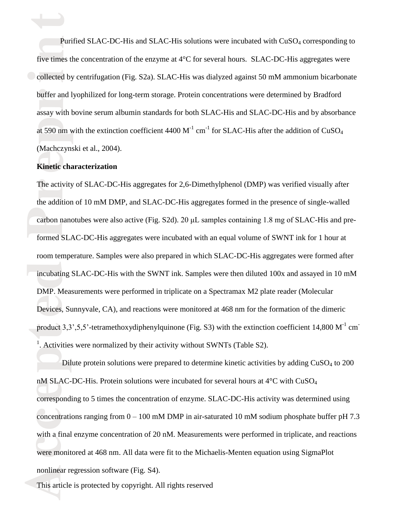at 590 nm w (Machczynski et al., 2004). buffer and lyophilized for long-term storage. Protein concentrations were determined by Bradford assay with bovine serum albumin standards for both SLAC-His and SLAC-DC-His and by absorbance Collected by centrifugation (Fig. S2a). SLAC-His was dialyzed against 50 mM ammonium bicarbonate Purified SLAC-DC-His and SLAC-His solutions were incubated with CuSO<sub>4</sub> corresponding to<br>five times the concentration of the enzyme at 4°C for several hours. SLAC-DC-His aggregates were Purified SLAC-DC-His and SLAC-His solutions were incubated with CuSO<sub>4</sub> corresponding to at 590 nm with the extinction coefficient 4400  $M^{-1}$  cm<sup>-1</sup> for SLAC-His after the addition of CuSO<sub>4</sub>

### e**Kinetic characterization**

t

Devices, Su<br>product 3,3<br><sup>1</sup>. Activities<br>Dil incubati DMP. Measurements were performed in triplicate on a Spectramax M2 plate reader (Molecular carbon n formed SLAC-DC-His aggregates were incubated with an equal volume of SWNT ink for 1 hour at The activity of SLAC-DC-His aggregates for 2,6-Dimethylphenol (DMP) was verified visually after<br>  $\frac{1}{2}$  the addition of 10 mM DMP, and SLAC-DC-His aggregates formed in the presence of single-walled carbon nanotubes were also active (Fig. S2d). 20 μL samples containing 1.8 mg of SLAC-His and preroom temperature. Samples were also prepared in which SLAC-DC-His aggregates were formed after incubating SLAC-DC-His with the SWNT ink. Samples were then diluted 100x and assayed in 10 mM Devices, Sunnyvale, CA), and reactions were monitored at 468 nm for the formation of the dimeric product 3,3',5,5'-tetramethoxydiphenylquinone (Fig. S3) with the extinction coefficient 14,800 M<sup>-1</sup> cm<sup>-</sup> <sup>1</sup>. Activities were normalized by their activity without SWNTs (Table S2).

what a m<br>were mo<br>nonlinear<br>This art. concentrations ranging from  $0 - 100$  mM DMP in air-saturated 10 mM sodium phosphate buffer pH 7.3 with a final enzyme concentration of 20 nM. Measurements were performed in triplicate, and reactions nM SLAC-DC-His. Protein solutions were incubated for several hours at  $4^{\circ}$ C with CuSO<sub>4</sub><br>corresponding to 5 times the concentration of enzyme. SLAC-DC-His activity was determined using Dilute protein solutions were prepared to determine kinetic activities by adding  $CuSO<sub>4</sub>$  to 200 nM SLAC-DC-His. Protein solutions were incubated for several hours at 4°C with CuSO<sub>4</sub> were monitored at 468 nm. All data were fit to the Michaelis-Menten equation using SigmaPlot nonlinear regression software (Fig. S4).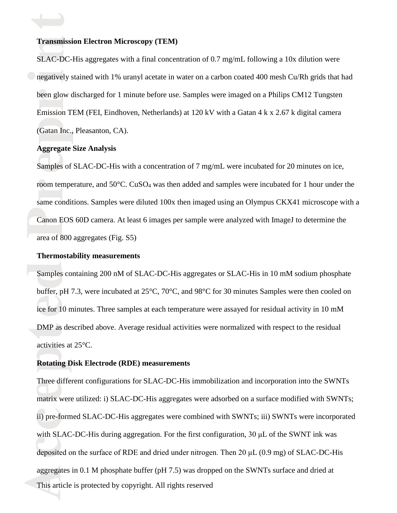# **Transmission Electron Microscopy (TEM)**<br>SLAC-DC-His aggregates with a final concer

Gatan Inc., been glow discharged for 1 minute before use. Samples were imaged on a Philips CM12 Tungsten Emission TEM (FEI, Eindhoven, Netherlands) at 120 kV with a Gatan 4 k x 2.67 k digital camera inegatively stained with 1% uranyl acetate in water on a carbon coated 400 mesh Cu/Rh grids that had SLAC-DC-His aggregates with a final concentration of 0.7 mg/mL following a 10x dilution were (Gatan Inc., Pleasanton, CA).

#### **Aggregate Size Analysis**

 $\overrightarrow{ }$ 

Canon E area of 800 aggregates (Fig. S5) room temperature, and 50°C. CuSO<sub>4</sub> was then added and samples were incubated for 1 hour under the same conditions. Samples were diluted 100x then imaged using an Olympus CKX41 microscope with a Samples of SLAC-DC-His with a concentration of 7 mg/mL were incubated for 20 minutes on ice, Canon EOS 60D camera. At least 6 images per sample were analyzed with ImageJ to determine the

#### **Thermostability measurements**

ice for 10 n<br>DMP as de<br>activities at<br>**Rotating D** Samples buffer, pH 7.3, were incubated at 25°C, 70°C, and 98°C for 30 minutes Samples were then cooled on Samples containing 200 nM of SLAC-DC-His aggregates or SLAC-His in 10 mM sodium phosphate ice for 10 minutes. Three samples at each temperature were assayed for residual activity in 10 mM DMP as described above. Average residual activities were normalized with respect to the residual activities at 25°C.

#### **Rotating Disk Electrode (RDE) measurements**

Man BE<br>deposite<br>aggrega<br>This art ii) pre-formed SLAC-DC-His aggregates were combined with SWNTs; iii) SWNTs were incorporated I hree different configurations for SLAC-DC-His immobilization and incorporation into the SWNTs<br>matrix were utilized: i) SLAC-DC-His aggregates were adsorbed on a surface modified with SWNTs; This article is protected by copyright. All rights reserved Three different configurations for SLAC-DC-His immobilization and incorporation into the SWNTs with SLAC-DC-His during aggregation. For the first configuration, 30 μL of the SWNT ink was deposited on the surface of RDE and dried under nitrogen. Then 20 μL (0.9 mg) of SLAC-DC-His aggregates in 0.1 M phosphate buffer (pH 7.5) was dropped on the SWNTs surface and dried at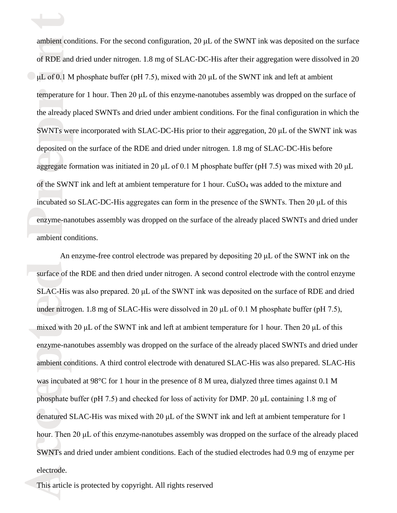enzyme ambient conditions. of the SWNT ink and left at ambient temperature for 1 hour.  $CuSO_4$  was added to the mixture and incubated so SLAC-DC-His aggregates can form in the presence of the SWNTs. Then 20 μL of this e<br>aggregate formation was initiated in 20 μL of 0.1 M phosphate buffer (pH 7.5) was mixed with 20 μL SWNTs were deposited on the surface of the RDE and dried under nitrogen. 1.8 mg of SLAC-DC-His before rtemperature for 1 hour. Then 20 μL of this enzyme-nanotubes assembly was dropped on the surface of the already placed SWNTs and dried under ambient conditions. For the final configuration in which the  $\bigcirc$ μL of 0.1 M phosphate buffer (pH 7.5), mixed with 20 μL of the SWNT ink and left at ambient ambient conditions. For the second configuration, 20 µL of the SWNT ink was deposited on the surface<br>of RDE and dried under nitrogen. 1.8 mg of SLAC-DC-His after their aggregation were dissolved in 20 ambient conditions. For the second configuration, 20 μL of the SWNT ink was deposited on the surface SWNTs were incorporated with SLAC-DC-His prior to their aggregation, 20 μL of the SWNT ink was enzyme-nanotubes assembly was dropped on the surface of the already placed SWNTs and dried under

SWNTs<br>SWNTs<br>electrod<br>This art cdenatured SLAC-His was mixed with 20 μL of the SWNT ink and left at ambient temperature for 1 hour. Then 20 μL of this enzyme-nanotubes assembly was dropped on the surface of the already placed was incubated at 98°C for 1 hour in the presence of 8 M urea, dialyzed three times against 0.1 M<br>phosphate buffer (pH 7.5) and checked for loss of activity for DMP. 20 μL containing 1.8 mg of under nitro<br>mixed with<br>enzyme-nai<br>ambient com surface of SLAC-His was also prepared. 20 μL of the SWNT ink was deposited on the surface of RDE and dried An enzyme-free control electrode was prepared by depositing 20  $\mu$ L of the SWNT ink on the surface of the RDE and then dried under nitrogen. A second control electrode with the control enzyme under nitrogen. 1.8 mg of SLAC-His were dissolved in 20 μL of 0.1 M phosphate buffer (pH 7.5), mixed with 20  $\mu$ L of the SWNT ink and left at ambient temperature for 1 hour. Then 20  $\mu$ L of this enzyme-nanotubes assembly was dropped on the surface of the already placed SWNTs and dried under ambient conditions. A third control electrode with denatured SLAC-His was also prepared. SLAC-His was incubated at 98°C for 1 hour in the presence of 8 M urea, dialyzed three times against 0.1 M SWNTs and dried under ambient conditions. Each of the studied electrodes had 0.9 mg of enzyme per electrode.

This article is protected by copyright. All rights reserved

 $\overrightarrow{ }$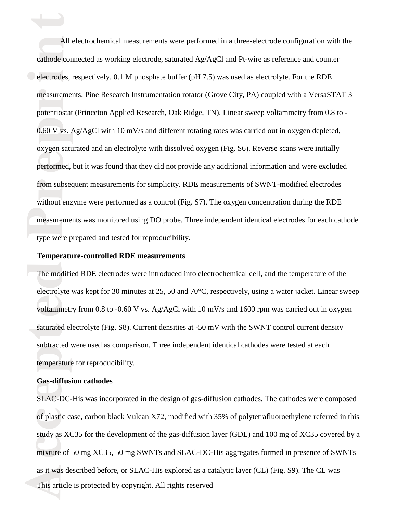measure type were prepared and tested for reproducibility. from subsequent measurements for simplicity. RDE measurements of SWNT-modified electrodes without enzyme were performed as a control (Fig. S7). The oxygen concentration during the RDE eperformed, but it was found that they did not provide any additional information and were excluded  $0.60 \text{ V}$  vs.  $\frac{1}{2}$  oxygen saturated and an electrolyte with dissolved oxygen (Fig. S6). Reverse scans were initially rmeasurements, Pine Research Instrumentation rotator (Grove City, PA) coupled with a VersaSTAT 3<br>
and the contract of the contract of the contract of the contract of the contract of the contract of the contract of the cont potentiostat (Princeton Applied Research, Oak Ridge, TN). Linear sweep voltammetry from 0.8 to ielectrodes, respectively. 0.1 M phosphate buffer (pH 7.5) was used as electrolyte. For the RDE All electrochemical measurements were performed in a three-electrode configuration with<br>cathode connected as working electrode, saturated Ag/AgCl and Pt-wire as reference and counter All electrochemical measurements were performed in a three-electrode configuration with the 0.60 V vs. Ag/AgCl with 10 mV/s and different rotating rates was carried out in oxygen depleted, measurements was monitored using DO probe. Three independent identical electrodes for each cathode

#### **Temperature-controlled RDE measurements**

voltammetr<br>saturated el<br>subtracted<br>temperature The mod electrolyte was kept for 30 minutes at 25, 50 and 70°C, respectively, using a water jacket. Linear sweep The modified RDE electrodes were introduced into electrochemical cell, and the temperature of the voltammetry from 0.8 to -0.60 V vs. Ag/AgCl with 10 mV/s and 1600 rpm was carried out in oxygen saturated electrolyte (Fig. S8). Current densities at -50 mV with the SWNT control current density subtracted were used as comparison. Three independent identical cathodes were tested at each temperature for reproducibility.

#### **Gas-diffusion cathodes**

t

mixture<br>mixture<br>as it was<br>This art. of plastic case, carbon black Vulcan X72, modified with 35% of polytetrafluoroethylene referred in this study as XC35 for the development of the gas-diffusion layer (GDL) and 100 mg of XC35 covered by a Gas-diffusion cathodes<br>SLAC-DC-His was incorporated in the design of gas-diffusion cathodes. The cathodes were composed This article is protected by copyright. All rights reserved mixture of 50 mg XC35, 50 mg SWNTs and SLAC-DC-His aggregates formed in presence of SWNTs as it was described before, or SLAC-His explored as a catalytic layer (CL) (Fig. S9). The CL was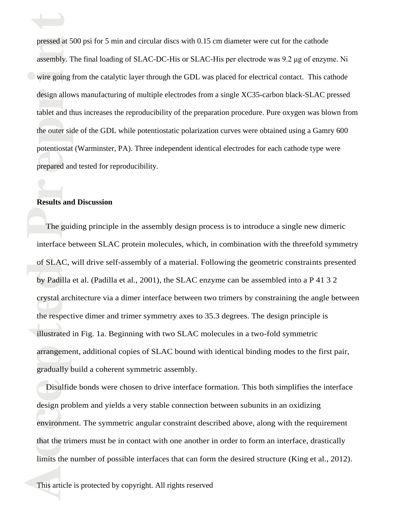eprepared and tested for reproducibility. he outer side potentiostat (Warminster, PA). Three independent identical electrodes for each cathode type were design allows manufacturing of multiple electrodes from a single XC35-carbon black-SLAC pressed<br>and the state of the state of the state of the state of the state of the state of the state of the state of the state of the s tablet and thus increases the reproducibility of the preparation procedure. Pure oxygen was blown from  $\bullet$  wire going from the catalytic layer through the GDL was placed for electrical contact. This cathode pressed at 500 psi for 5 min and circular discs with 0.15 cm diameter were cut for the cathode<br>assembly. The final loading of SLAC-DC-His or SLAC-His per electrode was 9.2 µg of enzyn assembly. The final loading of SLAC-DC-His or SLAC-His per electrode was 9.2 μg of enzyme. Ni the outer side of the GDL while potentiostatic polarization curves were obtained using a Gamry 600

### r**Results and Discussion**

 $\overrightarrow{ }$ 

crystal arc<br>the respect<br>illustrated<br>arrangeme<br>gradually l ddby Padilla et al. (Padilla et al., 2001), the SLAC enzyme can be assembled into a P 41 3 2 The g The guiding principle in the assembly design process is to introduce a single new dimeric interface between SLAC protein molecules, which, in combination with the threefold symmetry of SLAC, will drive self-assembly of a material. Following the geometric constraints presented crystal architecture via a dimer interface between two trimers by constraining the angle between the respective dimer and trimer symmetry axes to 35.3 degrees. The design principle is illustrated in Fig. 1a. Beginning with two SLAC molecules in a two-fold symmetric arrangement, additional copies of SLAC bound with identical binding modes to the first pair, gradually build a coherent symmetric assembly.

that the<br>limits the<br>limits the environment. The symmetric angular constraint described above, along with the requirement Disulfide bonds were chosen to drive interface formation. This both simplifies the interface design problem and yields a very stable connection between subunits in an oxidizing that the trimers must be in contact with one another in order to form an interface, drastically limits the number of possible interfaces that can form the desired structure (King et al., 2012).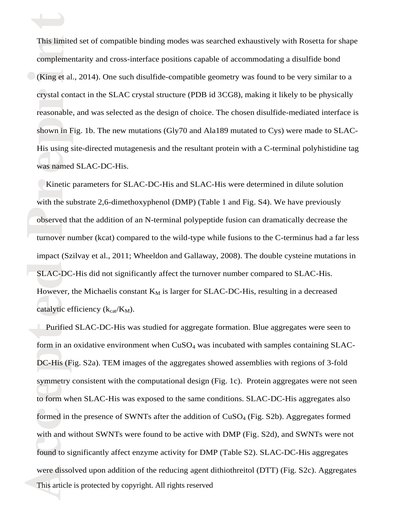was named SLAC-DC-His. shown in  $F$  His using site-directed mutagenesis and the resultant protein with a C-terminal polyhistidine tag crystal contact in the SLAC crystal structure (PDB id 3CG8), making it likely to be physically reasonable, and was selected as the design of choice. The chosen disulfide-mediated interface is  $\bigcirc$  (King et al., 2014). One such disulfide-compatible geometry was found to be very similar to a This limited set of compatible binding modes was searched exhaustively with Rosetta for shape<br>complementarity and cross-interface positions capable of accommodating a disulfide bond complementarity and cross-interface positions capable of accommodating a disulfide bond shown in Fig. 1b. The new mutations (Gly70 and Ala189 mutated to Cys) were made to SLAC-

 $\overrightarrow{ }$ 

SLAC-However, the Michaelis constant  $K_M$  is larger for SLAC-DC-His, resulting in a decreased observe turnover number (kcat) compared to the wild-type while fusions to the C-terminus had a far less Kinetic parameters for SLAC-DC-His and SLAC-His were determined in dilute solution with the substrate 2,6-dimethoxyphenol (DMP) (Table 1 and Fig. S4). We have previously observed that the addition of an N-terminal polypeptide fusion can dramatically decrease the impact (Szilvay et al., 2011; Wheeldon and Gallaway, 2008). The double cysteine mutations in SLAC-DC-His did not significantly affect the turnover number compared to SLAC-His. catalytic efficiency  $(k_{cat}/K_M)$ .

Found to were di formed in the presence of SWNTs after the addition of  $CuSO<sub>4</sub>$  (Fig. S2b). Aggregates formed with and without SWNTs were found to be active with DMP (Fig. S2d), and SWNTs were not symmetry consistent with the computational design (Fig. 1c). Protein aggregates were not see<br>to form when SLAC-His was exposed to the same conditions. SLAC-DC-His aggregates also catalytic e:<br>Purified<br>form in an<br>DC-His (F This article is protected by copyright. All rights reserved Purified SLAC-DC-His was studied for aggregate formation. Blue aggregates were seen to form in an oxidative environment when  $CuSO<sub>4</sub>$  was incubated with samples containing  $SLAC$ -DC-His (Fig. S2a). TEM images of the aggregates showed assemblies with regions of 3-fold symmetry consistent with the computational design (Fig. 1c). Protein aggregates were not seen found to significantly affect enzyme activity for DMP (Table S2). SLAC-DC-His aggregates were dissolved upon addition of the reducing agent dithiothreitol (DTT) (Fig. S2c). Aggregates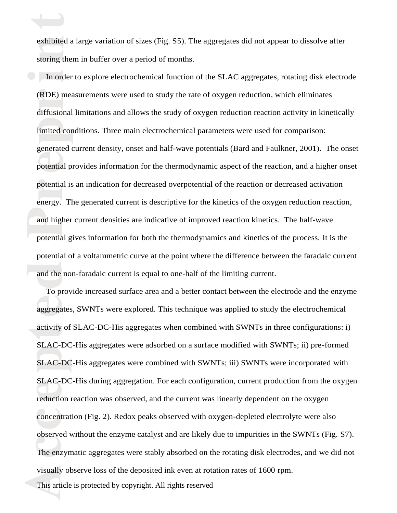exhibited a large variation of sizes (Fig. S5). The aggregates did not appear to dissolve after<br>storing them in buffer over a period of months. storing them in buffer over a period of months.

 $\overrightarrow{ }$ 

and the and high potential gives information for both the thermodynamics and kinetics of the process. It is the potential is an indication for decreased overpotential of the reaction or decreased activation energy. The generated current is descriptive for the kinetics of the oxygen reduction reaction, epotential provides information for the thermodynamic aspect of the reaction, and a higher onset imited con generated current density, onset and half-wave potentials (Bard and Faulkner, 2001). The onset r(RDE) measurements were used to study the rate of oxygen reduction, which eliminates diffusional limitations and allows the study of oxygen reduction reaction activity in kinetically In order to explore electrochemical function of the SLAC aggregates, rotating disk electrode limited conditions. Three main electrochemical parameters were used for comparison: and higher current densities are indicative of improved reaction kinetics. The half-wave potential of a voltammetric curve at the point where the difference between the faradaic current and the non-faradaic current is equal to one-half of the limiting current.

The end<br>The end<br>visually<br>This art concentration (Fig. 2). Redox peaks observed with oxygen-depleted electrolyte were also observed without the enzyme catalyst and are likely due to impurities in the SWNTs (Fig. S7). sLAC-DC-His during aggregation. For each configuration, current production from the<br>reduction reaction was observed, and the current was linearly dependent on the oxygen aggregates<br>activity of<br>SLAC-DC<br>SLAC-DC To provide increased surface area and a better contact between the electrode and the enzyme This article is protected by copyright. All rights reserved aggregates, SWNTs were explored. This technique was applied to study the electrochemical activity of SLAC-DC-His aggregates when combined with SWNTs in three configurations: i) SLAC-DC-His aggregates were adsorbed on a surface modified with SWNTs; ii) pre-formed SLAC-DC-His aggregates were combined with SWNTs; iii) SWNTs were incorporated with SLAC-DC-His during aggregation. For each configuration, current production from the oxygen The enzymatic aggregates were stably absorbed on the rotating disk electrodes, and we did not visually observe loss of the deposited ink even at rotation rates of 1600 rpm.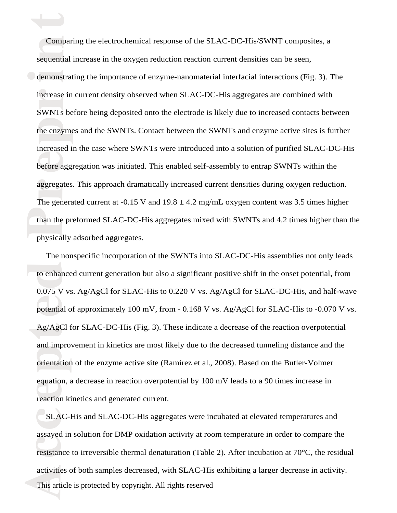than the physically adsorbed aggregates. aggregates. This approach dramatically increased current densities during oxygen reduction. The generated current at -0.15 V and  $19.8 \pm 4.2$  mg/mL oxygen content was 3.5 times higher ebefore aggregation was initiated. This enabled self-assembly to entrap SWNTs within the he enzyme increased in the case where SWNTs were introduced into a solution of purified SLAC-DC-His rincrease in current density observed when SLAC-DC-His aggregates are combined with SWNTs before being deposited onto the electrode is likely due to increased contacts between idemonstrating the importance of enzyme-nanomaterial interfacial interactions (Fig. 3). The Comparing the electrochemical response of the SLAC-DC-His/SWNT composition requential increase in the oxygen reduction reaction current densities can be seen, Comparing the electrochemical response of the SLAC-DC-His/SWNT composites, a the enzymes and the SWNTs. Contact between the SWNTs and enzyme active sites is further than the preformed SLAC-DC-His aggregates mixed with SWNTs and 4.2 times higher than the

 $\overrightarrow{ }$ 

equation, a decrease in reaction overpote<br>reaction kinetics and generated current. potential o<br>Ag/AgCl f<br>and improverientation to enhal  $0.075$  V vs. Ag/AgCl for SLAC-His to 0.220 V vs. Ag/AgCl for SLAC-DC-His, and half-wave The nonspecific incorporation of the SWNTs into SLAC-DC-His assemblies not only leads to enhanced current generation but also a significant positive shift in the onset potential, from potential of approximately 100 mV, from - 0.168 V vs. Ag/AgCl for SLAC-His to -0.070 V vs. Ag/AgCl for SLAC-DC-His (Fig. 3). These indicate a decrease of the reaction overpotential and improvement in kinetics are most likely due to the decreased tunneling distance and the orientation of the enzyme active site (Ramírez et al., 2008). Based on the Butler-Volmer equation, a decrease in reaction overpotential by 100 mV leads to a 90 times increase in

Example<br>
activitie<br>
This art SLAC-His and SLAC-DC-His aggregates were incubated at elevated temperatures and assayed in solution for DMP oxidation activity at room temperature in order to compare the This article is protected by copyright. All rights reserved resistance to irreversible thermal denaturation (Table 2). After incubation at 70°C, the residual activities of both samples decreased, with SLAC-His exhibiting a larger decrease in activity.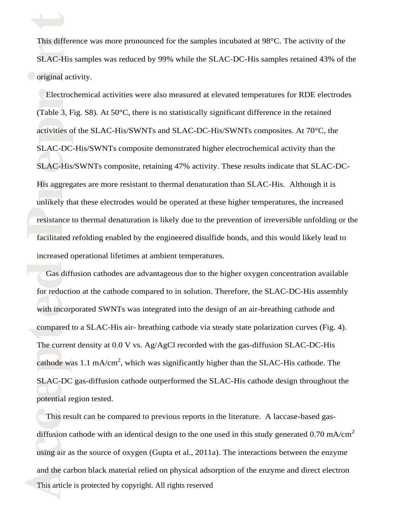**O** original activity. This difference was more pronounced for the samples incubated at 98°C. The activity of the<br>SLAC-His samples was reduced by 99% while the SLAC-DC-His samples retained 43% of t SLAC-His samples was reduced by 99% while the SLAC-DC-His samples retained 43% of the

 $\overrightarrow{ }$ 

resistan facilitated refolding enabled by the engineered disulfide bonds, and this would likely lead to His aggregates are more resistant to thermal denaturation than SLAC-His. Although it is unlikely that these electrodes would be operated at these higher temperatures, the increased estering the set of the SLAC-His/SWNTs composite, retaining 47% activity. These results indicate that SLAC-DCactivities o SLAC-DC-His/SWNTs composite demonstrated higher electrochemical activity than the rElectrochemical activities were also measured at elevated temperatures for RDE electrodes (Table 3, Fig. S8). At  $50^{\circ}$ C, there is no statistically significant difference in the retained activities of the SLAC-His/SWNTs and SLAC-DC-His/SWNTs composites. At 70°C, the resistance to thermal denaturation is likely due to the prevention of irreversible unfolding or the increased operational lifetimes at ambient temperatures.

SLAC-DC gas-diffusic<br>potential region tested. with incorp<br>compared<br>The currer<br>cathode w: Gas d for reduction at the cathode compared to in solution. Therefore, the SLAC-DC-His assembly Gas diffusion cathodes are advantageous due to the higher oxygen concentration available with incorporated SWNTs was integrated into the design of an air-breathing cathode and compared to a SLAC-His air- breathing cathode via steady state polarization curves (Fig. 4). The current density at 0.0 V vs. Ag/AgCl recorded with the gas-diffusion SLAC-DC-His cathode was 1.1 mA/cm<sup>2</sup>, which was significantly higher than the SLAC-His cathode. The SLAC-DC gas-diffusion cathode outperformed the SLAC-His cathode design throughout the

using a<br>using a<br>and the<br>This art This result can be compared to previous reports in the literature. A laccase-based gasdiffusion cathode with an identical design to the one used in this study generated 0.70 mA/cm<sup>2</sup> This article is protected by copyright. All rights reserved using air as the source of oxygen (Gupta et al., 2011a). The interactions between the enzyme and the carbon black material relied on physical adsorption of the enzyme and direct electron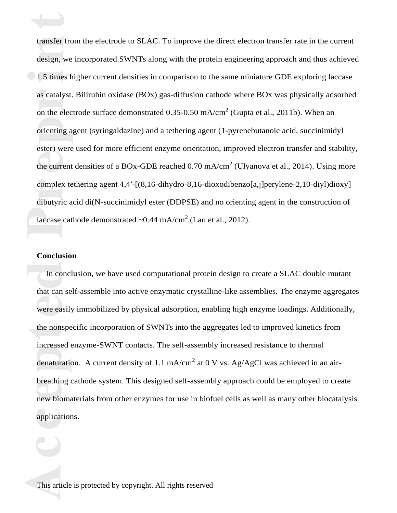laccase complex tethering agent 4,4′-[(8,16-dihydro-8,16-dioxodibenzo[a,j]perylene-2,10-diyl)dioxy] dibutyric acid di(N-succinimidyl ester (DDPSE) and no orienting agent in the construction of the current densities of a BOx-GDE reached 0.70 mA/cm<sup>2</sup> (Ulyanova et al., 2014). Using more prienting a ester) were used for more efficient enzyme orientation, improved electron transfer and stability, as catalyst. Bilirubin oxidase (BOx) gas-diffusion cathode where BOx was physically adsorbed<br>
<sup>2</sup> on the electrode surface demonstrated  $0.35$ -0.50 mA/cm<sup>2</sup> (Gupta et al., 2011b). When an  $\bigcirc$  1.5 times higher current densities in comparison to the same miniature GDE exploring laccase transfer from the electrode to SLAC. To improve the direct electron transfer rate in the current<br>design, we incorporated SWNTs along with the protein engineering approach and thus achieved design, we incorporated SWNTs along with the protein engineering approach and thus achieved orienting agent (syringaldazine) and a tethering agent (1-pyrenebutanoic acid, succinimidyl laccase cathode demonstrated  $\sim 0.44$  mA/cm<sup>2</sup> (Lau et al., 2012).

#### **Conclusion**

 $\overrightarrow{ }$ 

applications. breathing cathode system. This designed self-assembly approach could be employed to create<br>new biomaterials from other enzymes for use in biofuel cells as well as many other biocatalysis were easily<br>the nonspe<br>increased of<br>denaturation In co that can self-assemble into active enzymatic crystalline-like assemblies. The enzyme aggregates In conclusion, we have used computational protein design to create a SLAC double mutant were easily immobilized by physical adsorption, enabling high enzyme loadings. Additionally, the nonspecific incorporation of SWNTs into the aggregates led to improved kinetics from increased enzyme-SWNT contacts. The self-assembly increased resistance to thermal denaturation. A current density of 1.1 mA/cm<sup>2</sup> at 0 V vs. Ag/AgCl was achieved in an airbreathing cathode system. This designed self-assembly approach could be employed to create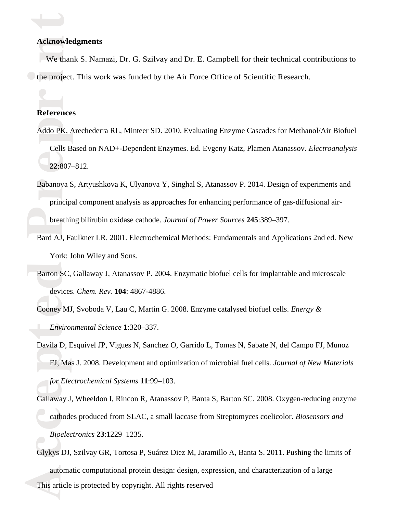# **Acknowledgments**<br>We thank S. Nan

 $\overrightarrow{ }$ 

ithe project. This work was funded by the Air Force Office of Scientific Research. We thank S. Namazi, Dr. G. Szilvay and Dr. E. Campbell for their technical contributions to

### r**References**

- e**22**:807–812. Addo PK, A Cells Based on NAD+-Dependent Enzymes. Ed. Evgeny Katz, Plamen Atanassov. *Electroanalysis* Addo PK, Arechederra RL, Minteer SD. 2010. Evaluating Enzyme Cascades for Methanol/Air Biofuel
- brea Babanova S, Artyushkova K, Ulyanova Y, Singhal S, Atanassov P. 2014. Design of experiments and principal component analysis as approaches for enhancing performance of gas-diffusional airbreathing bilirubin oxidase cathode. *Journal of Power Sources* **245**:389–397.
	- Bard AJ, Faulkner LR. 2001. Electrochemical Methods: Fundamentals and Applications 2nd ed. New York: John Wiley and Sons.
- Barton S devices. *Chem. Rev.* **104**: 4867-4886. Barton SC, Gallaway J, Atanassov P. 2004. Enzymatic biofuel cells for implantable and microscale

Cooney MJ, Svoboda V, Lau C, Martin G. 2008. Enzyme catalysed biofuel cells. *Energy & Environmental Science* **1**:320–337.

- Cooney MJ<br>Environ<br>Davila D, F<br>FJ, Ma Davila D, Esquivel JP, Vigues N, Sanchez O, Garrido L, Tomas N, Sabate N, del Campo FJ, Munoz FJ, Mas J. 2008. Development and optimization of microbial fuel cells. *Journal of New Materials for Electrochemical Systems* **11**:99–103.
	- ccathodes produced from SLAC, a small laccase from Streptomyces coelicolor. *Biosensors and*  e Gallaway J, Wheeldon I, Rincon R, Atanassov P, Banta S, Barton SC. 2008. Oxygen-reducing enzyme *Bioelectronics* **23**:1229–1235.
- Glykys<br>
auto<br>
This art This article is protected by copyright. All rights reserved Glykys DJ, Szilvay GR, Tortosa P, Suárez Diez M, Jaramillo A, Banta S. 2011. Pushing the limits of automatic computational protein design: design, expression, and characterization of a large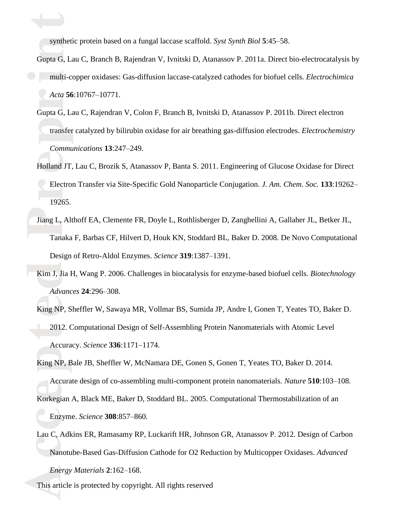synthetic protein based on a fungal laccase scaffold. *Syst Synth Biol* **5**:45–58.

 $\overrightarrow{ }$ 

- r*Acta* **56**:10767–10771. imulti-copper oxidases: Gas-diffusion laccase-catalyzed cathodes for biofuel cells. *Electrochimica*  synthetic protein based on a fungal laccase scaffold. Syst Synth Biol 5:45-58.<br>Gupta G, Lau C, Branch B, Rajendran V, Ivnitski D, Atanassov P. 2011a. Direct bio-electrocatalysis by
	- transfer *Communications* **13**:247–249. Gupta G, Lau C, Rajendran V, Colon F, Branch B, Ivnitski D, Atanassov P. 2011b. Direct electron transfer catalyzed by bilirubin oxidase for air breathing gas-diffusion electrodes. *Electrochemistry*
	- rElectron Transfer via Site-Specific Gold Nanoparticle Conjugation. *J. Am. Chem. Soc.* **133**:19262– 19265. eHolland JT, Lau C, Brozik S, Atanassov P, Banta S. 2011. Engineering of Glucose Oxidase for Direct
- Jiang L, Tanaka F, Barbas CF, Hilvert D, Houk KN, Stoddard BL, Baker D. 2008. De Novo Computational Jiang L, Althoff EA, Clemente FR, Doyle L, Rothlisberger D, Zanghellini A, Gallaher JL, Betker JL, Design of Retro-Aldol Enzymes. *Science* **319**:1387–1391.
- $\lim J, J$  *Advances* **24**:296–308. Kim J, Jia H, Wang P. 2006. Challenges in biocatalysis for enzyme-based biofuel cells. *Biotechnology*
- King NP, S<br>2012. C<br>Accura<br>King NP, B King NP, Sheffler W, Sawaya MR, Vollmar BS, Sumida JP, Andre I, Gonen T, Yeates TO, Baker D. 2012. Computational Design of Self-Assembling Protein Nanomaterials with Atomic Level Accuracy. *Science* **336**:1171–1174.

King NP, Bale JB, Sheffler W, McNamara DE, Gonen S, Gonen T, Yeates TO, Baker D. 2014.

Accurate design of co-assembling multi-component protein nanomaterials. *Nature* **510**:103–108.

- cEnzyme. *Science* **308**:857–860. Accurate design of co-assembling multi-component protein nanomaterials. *Nature* 510:103-1<br>Korkegian A, Black ME, Baker D, Stoddard BL. 2005. Computational Thermostabilization of an
- Edd C, P.<br>Nar<br>Ene<br>This art. Lau C, Adkins ER, Ramasamy RP, Luckarift HR, Johnson GR, Atanassov P. 2012. Design of Carbon Nanotube-Based Gas-Diffusion Cathode for O2 Reduction by Multicopper Oxidases. *Advanced Energy Materials* **2**:162–168.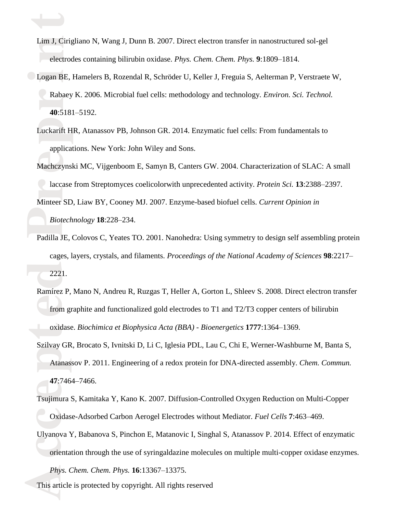Lim J, Cirigliano N, Wang J, Dunn B. 2007. Direct electron transfer in nanostructured sol-gel<br>electrodes containing bilirubin oxidase. Phys. Chem. Chem. Phys. 9:1809–1814. electrodes containing bilirubin oxidase. *Phys. Chem. Chem. Phys.* **9**:1809–1814.

 $\overrightarrow{ }$ 

- rRabaey K. 2006. Microbial fuel cells: methodology and technology. *Environ. Sci. Technol.* **40**:5181–5192. iLogan BE, Hamelers B, Rozendal R, Schröder U, Keller J, Freguia S, Aelterman P, Verstraete W,
	- Luckarift H applications. New York: John Wiley and Sons. Luckarift HR, Atanassov PB, Johnson GR. 2014. Enzymatic fuel cells: From fundamentals to
	- rlaccase from Streptomyces coelicolorwith unprecedented activity. *Protein Sci.* **13**:2388–2397. Machczynski MC, Vijgenboom E, Samyn B, Canters GW. 2004. Characterization of SLAC: A small

Biot Minteer SD, Liaw BY, Cooney MJ. 2007. Enzyme-based biofuel cells. *Current Opinion in Biotechnology* **18**:228–234.

- 222 Padilla JE, Colovos C, Yeates TO. 2001. Nanohedra: Using symmetry to design self assembling protein cages, layers, crystals, and filaments. *Proceedings of the National Academy of Sciences* **98**:2217– 2221.
- From gradients<br>
oxidase<br>
Szilvay GR<br>
Atanas Ramírez P, Mano N, Andreu R, Ruzgas T, Heller A, Gorton L, Shleev S. 2008. Direct electron transfer from graphite and functionalized gold electrodes to T1 and T2/T3 copper centers of bilirubin oxidase. *Biochimica et Biophysica Acta (BBA) - Bioenergetics* **1777**:1364–1369.
	- Szilvay GR, Brocato S, Ivnitski D, Li C, Iglesia PDL, Lau C, Chi E, Werner-Washburne M, Banta S, Atanassov P. 2011. Engineering of a redox protein for DNA-directed assembly. *Chem. Commun.* **47**:7464–7466.
	- cOxidase-Adsorbed Carbon Aerogel Electrodes without Mediator. *Fuel Cells* **7**:463–469. e Tsujimura S, Kamitaka Y, Kano K. 2007. Diffusion-Controlled Oxygen Reduction on Multi-Copper
- Francisco Crystal<br>
orie<br>
Phy<br>
This art Ulyanova Y, Babanova S, Pinchon E, Matanovic I, Singhal S, Atanassov P. 2014. Effect of enzymatic orientation through the use of syringaldazine molecules on multiple multi-copper oxidase enzymes.

*Phys. Chem. Chem. Phys.* **16**:13367–13375.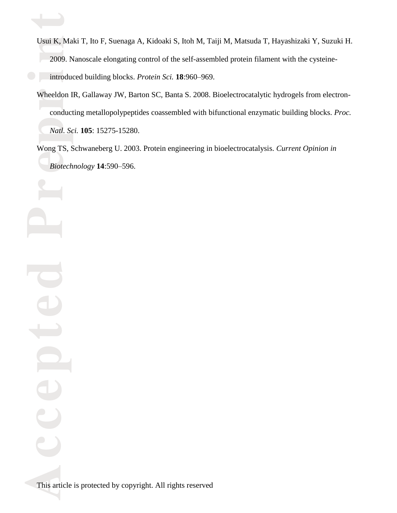- iintroduced building blocks. *Protein Sci.* **18**:960–969. Usui K, Maki T, Ito F, Suenaga A, Kidoaki S, Itoh M, Taiji M, Matsuda T, Hayashizaki Y, Suzuki H.<br>2009. Nanoscale elongating control of the self-assembled protein filament with the cysteine-2009. Nanoscale elongating control of the self-assembled protein filament with the cysteine-
	- Natl. Sc Wheeldon IR, Gallaway JW, Barton SC, Banta S. 2008. Bioelectrocatalytic hydrogels from electron conducting metallopolypeptides coassembled with bifunctional enzymatic building blocks. *Proc. Natl. Sci.* **105**: 15275-15280.

e*Biotechnology* **14**:590–596.Wong TS, Schwaneberg U. 2003. Protein engineering in bioelectrocatalysis. *Current Opinion in* 

This art: This article is protected by copyright. All rights reserved

 $\mathbf{C}$ 

 $\bigoplus$ 

pte

 $\mathbf{\underline{\mathsf{a}}}$ 

 $\overrightarrow{ }$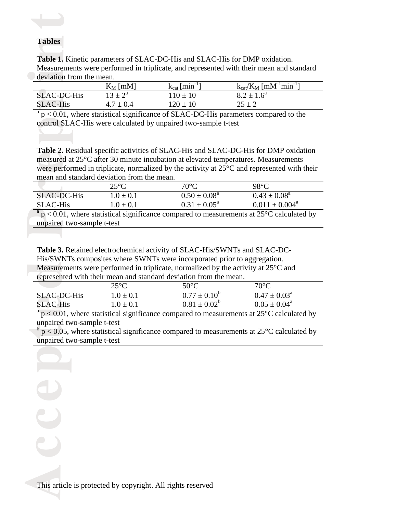#### **Tables**

 $\overrightarrow{ }$ 

 $\mathbf{C}$ 

 $\bigoplus$ 

deviation from the mean. Tables<br>Table 1. Kinetic parameters of SLAC-DC-His and SLAC-His for DMP oxidation. Measurements were performed in triplicate, and represented with their mean and standard

|                    | $K_M$ [mM]         | $k_{cat}$ [min <sup>-1</sup> ] | $k_{cat}/K_M$ [mM <sup>-1</sup> min <sup>-1</sup> ] |
|--------------------|--------------------|--------------------------------|-----------------------------------------------------|
| <b>SLAC-DC-His</b> | $13 \pm 2^{\rm a}$ | $110 \pm 10$                   | $8.2 \pm 1.6^{\circ}$                               |
| <b>SLAC-His</b>    | $4.7 \pm 0.4$      | $120 \pm 10$                   | $25 \pm 2$                                          |

control SLAC-His were calculated by unpaired two-sample t-test  $a<sub>p</sub> < 0.01$ , where statistical significance of SLAC-DC-His parameters compared to the

measured at 25°C after 30 minute incubation at elevated temperatures. Measurements were performed in triplicate, normalized by the activity at 25°C and represented with t mean and standard deviation from the mean. **Table 2.** Residual specific activities of SLAC-His and SLAC-DC-His for DMP oxidation were performed in triplicate, normalized by the activity at 25°C and represented with their

|                                                                                                     | $25^{\circ}C$ | $70^{\circ}C$              | $98^{\circ}$ C               |  |  |
|-----------------------------------------------------------------------------------------------------|---------------|----------------------------|------------------------------|--|--|
| SLAC-DC-His                                                                                         | $1.0 \pm 0.1$ | $0.50 \pm 0.08^{\text{a}}$ | $0.43 \pm 0.08^{\text{a}}$   |  |  |
| <b>SLAC-His</b>                                                                                     | $1.0 \pm 0.1$ | $0.31 \pm 0.05^{\text{a}}$ | $0.011 \pm 0.004^{\text{a}}$ |  |  |
| $\frac{a_{n}}{2}$ 0.01 where statistical significance compared to measurements at 25% coloulated by |               |                            |                              |  |  |

 $\frac{a}{p} < 0.0$ <br>unpaired  $p < 0.01$ , where statistical significance compared to measurements at 25 $\degree$ C calculated by unpaired two-sample t-test

Measurements were performed in triplicate, normalized by the activity at 25°C and<br>represented with their mean and standard deviation from the mean.<br> $25^{\circ}\text{C}$  50°C 70°C **Table 3.** Retained electrochemical activity of SLAC-His/SWNTs and SLAC-DC-His/SWNTs composites where SWNTs were incorporated prior to aggregation. represented with their mean and standard deviation from the mean.

|                    | $25^{\circ}\mathrm{C}$ | $50^{\circ}$ C          | $70^{\circ}\mathrm{C}$     |
|--------------------|------------------------|-------------------------|----------------------------|
| <b>SLAC-DC-His</b> | $1.0 \pm 0.1$          | $0.77 \pm 0.10^{\circ}$ | $0.47 \pm 0.03^{\text{a}}$ |
| SLAC-His           | $.0 \pm 0.1$           | $0.81 \pm 0.02^{\circ}$ | $0.05 \pm 0.04^{\text{a}}$ |
| $\sim$             |                        |                         |                            |

SLAC-DC-<br>
SLAC-His<br>  $\frac{1}{a} p < 0.01$ ,<br>
unpaired two<br>
unpaired two<br>
unpaired two  $a<sub>p</sub> < 0.01$ , where statistical significance compared to measurements at 25 $\degree$ C calculated by unpaired two-sample t-test

 $\rm{b}$  p < 0.05, where statistical significance compared to measurements at 25 $\rm{^{\circ}C}$  calculated by unpaired two-sample t-test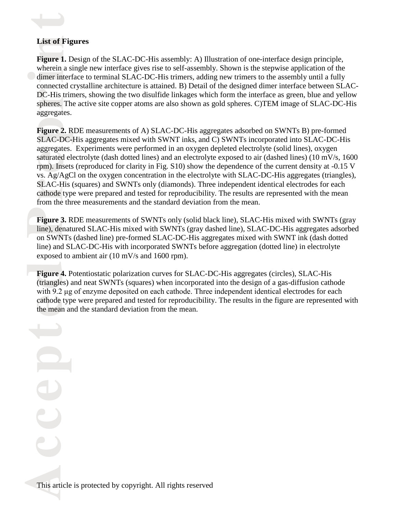# **List of Figures<br>Figure 1. Desigr**

 $\overrightarrow{ }$ 

DC-His trimers, showing the two disulfide linkages which form the interface as green, blue and yellow<br>spheres. The active site copper atoms are also shown as gold spheres. C)TEM image of SLAC-DC-His aggregates. dimer interface to terminal SLAC-DC-His trimers, adding new trimers to the assembly until a fully connected crystalline architecture is attained. B) Detail of the designed dimer interface between SLAC wherein a single new interface gives rise to self-assembly. Shown is the stepwise application of the **Figure 1.** Design of the SLAC-DC-His assembly: A) Illustration of one-interface design principle, spheres. The active site copper atoms are also shown as gold spheres. C)TEM image of SLAC-DC-His

SLAC-His (squares) and SWNTs only (diamonds). Three independent identical electrodes for each cathode type were prepared and tested for reproducibility. The results are represented with the mean from the three measurements and the standard deviation from the mean. saturated electrolyte (dash dotted lines) and an electrolyte exposed to air (dashed lines)  $(10 \text{ mV/s}, 1600 \text{ rpm})$ . Insets (reproduced for clarity in Fig. S10) show the dependence of the current density at -0.15 V vs. Ag/AgCl on the oxygen concentration in the electrolyte with SLAC-DC-His aggregates (triangles), Fi<mark>gure 2.</mark> R<br>SLAC-DC-l aggregates. Experiments were performed in an oxygen depleted electrolyte (solid lines), oxygen **Figure 2.** RDE measurements of A) SLAC-DC-His aggregates adsorbed on SWNTs B) pre-formed SLAC-DC-His aggregates mixed with SWNT inks, and C) SWNTs incorporated into SLAC-DC-His rpm). Insets (reproduced for clarity in Fig. S10) show the dependence of the current density at -0.15 V cathode type were prepared and tested for reproducibility. The results are represented with the mean

Figure 3. RDE measurements of SWNTs only (solid black line), SLAC-His mixed with SWNTs (gray line), denatured SLAC-His mixed with SWNTs (gray dashed line), SLAC-DC-His aggregates adsorbed on SWNTs (deched line) pro formed on SWNTs (dashed line) pre-formed SLAC-DC-His aggregates mixed with SWNT ink (dash dotted **Figure 3.** RDE measurements of SWNTs only (solid black line), SLAC-His mixed with SWNTs (gray line) and SLAC-DC-His with incorporated SWNTs before aggregation (dotted line) in electrolyte exposed to ambient air (10 mV/s and 1600 rpm).

cathode typ<br>the mean and<br> Figure<br>(triangle with 9.2 μg of enzyme deposited on each cathode. Three independent identical electrodes for each **Figure 4.** Potentiostatic polarization curves for SLAC-DC-His aggregates (circles), SLAC-His (triangles) and neat SWNTs (squares) when incorporated into the design of a gas-diffusion cathode cathode type were prepared and tested for reproducibility. The results in the figure are represented with the mean and the standard deviation from the mean.

This art: This article is protected by copyright. All rights reserved

 $\mathbf{C}$ 

 $\bigoplus$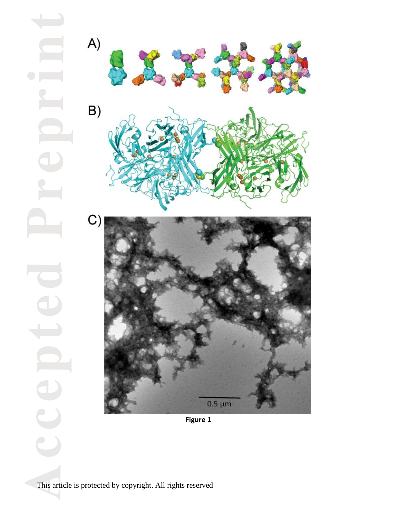

**Figure 1**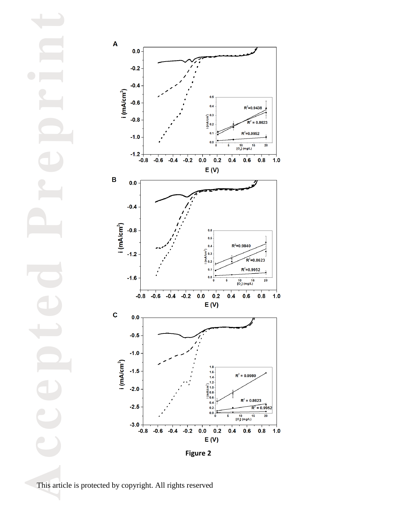



This article is protected by copyright. All rights reserved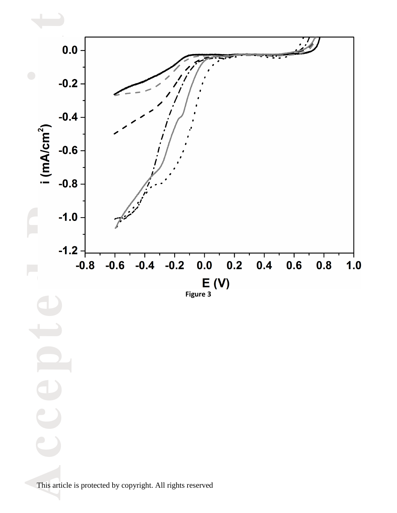

This art: This article is protected by copyright. All rights reserved

 $\mathbf{C}$ 

 $\bigoplus$